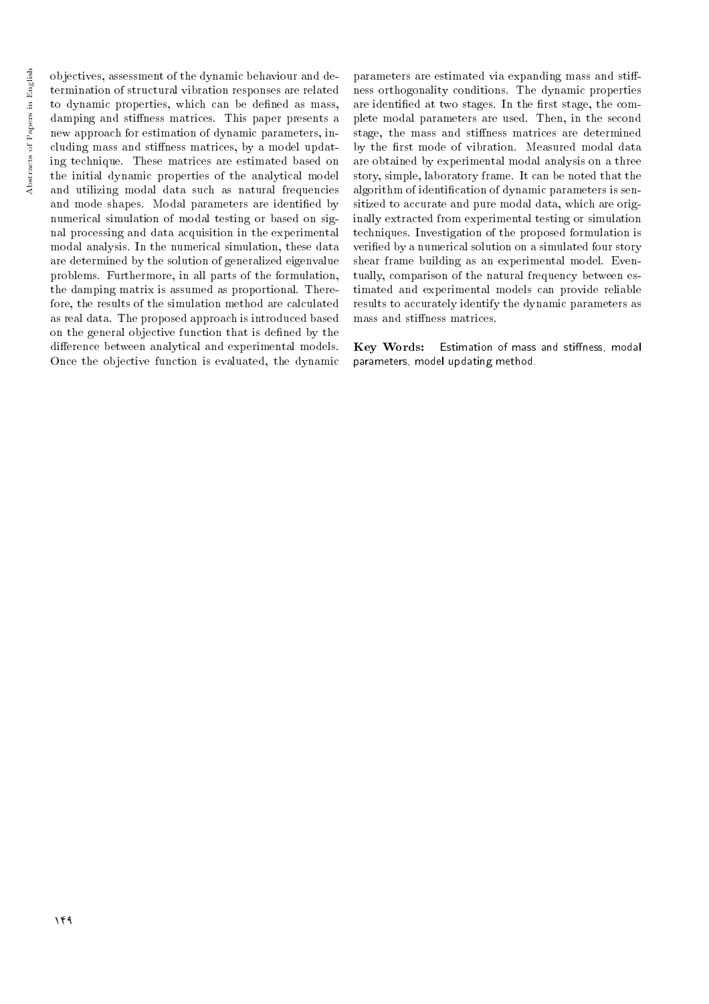objectives, assessment of the dynamic behaviour and determination of structural vibration responses are related to dynamic properties, which can be defined as mass, damping and stiffness matrices. This paper presents a new approach for estimation of dynamic parameters, including mass and stiffness matrices, by a model updating technique. These matrices are estimated based on the initial dynamic properties of the analytical model and utilizing modal data such as natural frequencies and mode shapes. Modal parameters are identied by numerical simulation of modal testing or based on signal processing and data acquisition in the experimental modal analysis. In the numerical simulation, these data are determined by the solution of generalized eigenvalue problems. Furthermore, in all parts of the formulation, the damping matrix is assumed as proportional. Therefore, the results of the simulation method are calculated as real data. The proposed approach is introduced based on the general objective function that is dened by the difference between analytical and experimental models. Once the objective function is evaluated, the dynamic

parameters are estimated via expanding mass and stiffness orthogonality conditions. The dynamic properties are identified at two stages. In the first stage, the complete modal parameters are used. Then, in the second stage, the mass and stiffness matrices are determined by the first mode of vibration. Measured modal data are obtained by experimental modal analysis on a three story, simple, laboratory frame. It can be noted that the algorithm of identification of dynamic parameters is sensitized to accurate and pure modal data, which are originally extracted from experimental testing or simulation techniques. Investigation of the proposed formulation is veried by a numerical solution on a simulated four story shear frame building as an experimental model. Eventually, comparison of the natural frequency between estimated and experimental models can provide reliable results to accurately identify the dynamic parameters as mass and stiffness matrices.

Key Words: Estimation of mass and stiffness, modal parameters, model updating method.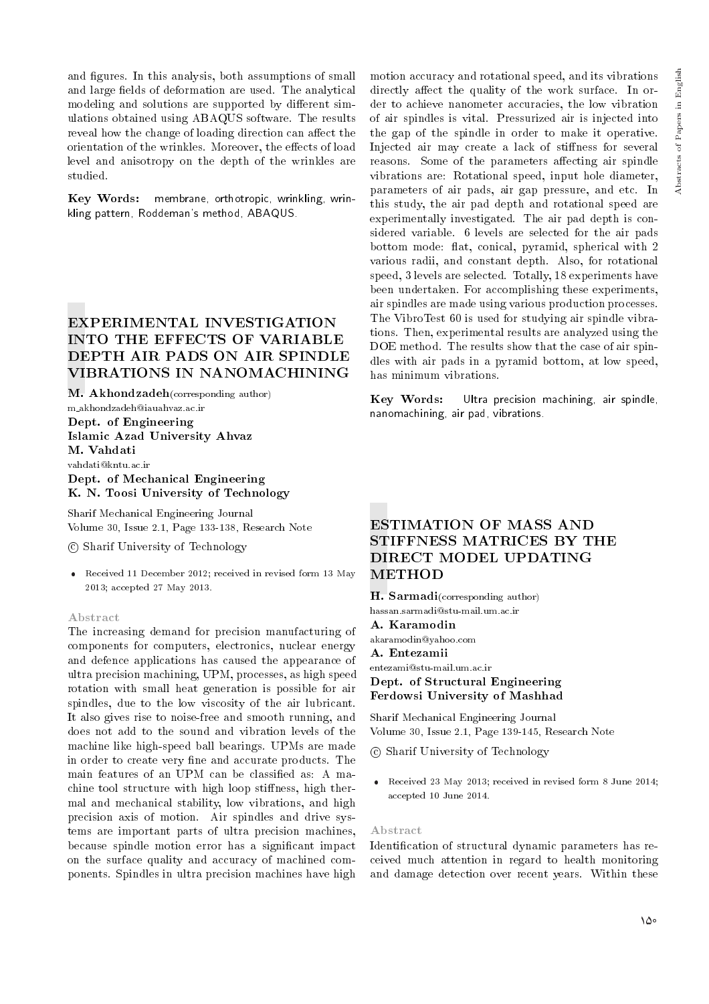and figures. In this analysis, both assumptions of small and large fields of deformation are used. The analytical modeling and solutions are supported by different simulations obtained using ABAQUS software. The results reveal how the change of loading direction can affect the orientation of the wrinkles. Moreover, the effects of load level and anisotropy on the depth of the wrinkles are studied.

Key Words: membrane, orthotropic, wrinkling, wrinkling pattern, Roddeman's method, ABAQUS.

# EXPERIMENTAL INVESTIGATION INTO THE EFFECTS OF VARIABLE DEPTH AIR PADS ON AIR SPINDLE VIBRATIONS IN NANOMACHINING

M. Akhondzadeh(corresponding author) m akhondzadeh@iauahvaz.ac.ir Dept. of Engineering Islamic Azad University Ahvaz M. Vahdati vahdati@kntu.ac.ir Dept. of Mechanical Engineering

K. N. Toosi University of Technology

Sharif Mechanical Engineering Journal Volume 30, Issue 2.1, Page 133-138, Research Note

c Sharif University of Technology

 Received 11 December 2012; received in revised form 13 May 2013; accepted 27 May 2013.

### Abstract

The increasing demand for precision manufacturing of components for computers, electronics, nuclear energy and defence applications has caused the appearance of ultra precision machining, UPM, processes, as high speed rotation with small heat generation is possible for air spindles, due to the low viscosity of the air lubricant. It also gives rise to noise-free and smooth running, and does not add to the sound and vibration levels of the machine like high-speed ball bearings. UPMs are made in order to create very fine and accurate products. The main features of an UPM can be classied as: A machine tool structure with high loop stiffness, high thermal and mechanical stability, low vibrations, and high precision axis of motion. Air spindles and drive systems are important parts of ultra precision machines, because spindle motion error has a signicant impact on the surface quality and accuracy of machined components. Spindles in ultra precision machines have high

motion accuracy and rotational speed, and its vibrations directly affect the quality of the work surface. In order to achieve nanometer accuracies, the low vibration of air spindles is vital. Pressurized air is injected into the gap of the spindle in order to make it operative. Injected air may create a lack of stiffness for several reasons. Some of the parameters affecting air spindle vibrations are: Rotational speed, input hole diameter, parameters of air pads, air gap pressure, and etc. In this study, the air pad depth and rotational speed are experimentally investigated. The air pad depth is considered variable. 6 levels are selected for the air pads bottom mode: flat, conical, pyramid, spherical with 2 various radii, and constant depth. Also, for rotational speed, 3 levels are selected. Totally, 18 experiments have been undertaken. For accomplishing these experiments, air spindles are made using various production processes. The VibroTest 60 is used for studying air spindle vibrations. Then, experimental results are analyzed using the DOE method. The results show that the case of air spindles with air pads in a pyramid bottom, at low speed, has minimum vibrations.

Key Words: Ultra precision machining, air spindle, nanomachining, air pad, vibrations.

# ESTIMATION OF MASS AND STIFFNESS MATRICES BY THE DIRECT MODEL UPDATING METHOD

H. Sarmadi(corresponding author) hassan.sarmadi@stu-mail.um.ac.ir A. Karamodin akaramodin@yahoo.com A. Entezamii entezami@stu-mail.um.ac.ir Dept. of Structural Engineering Ferdowsi University of Mashhad

Sharif Mechanical Engineering Journal Volume 30, Issue 2.1, Page 139-145, Research Note

c Sharif University of Technology

 Received 23 May 2013; received in revised form 8 June 2014; accepted 10 June 2014.

#### Abstract

Identication of structural dynamic parameters has received much attention in regard to health monitoring and damage detection over recent years. Within these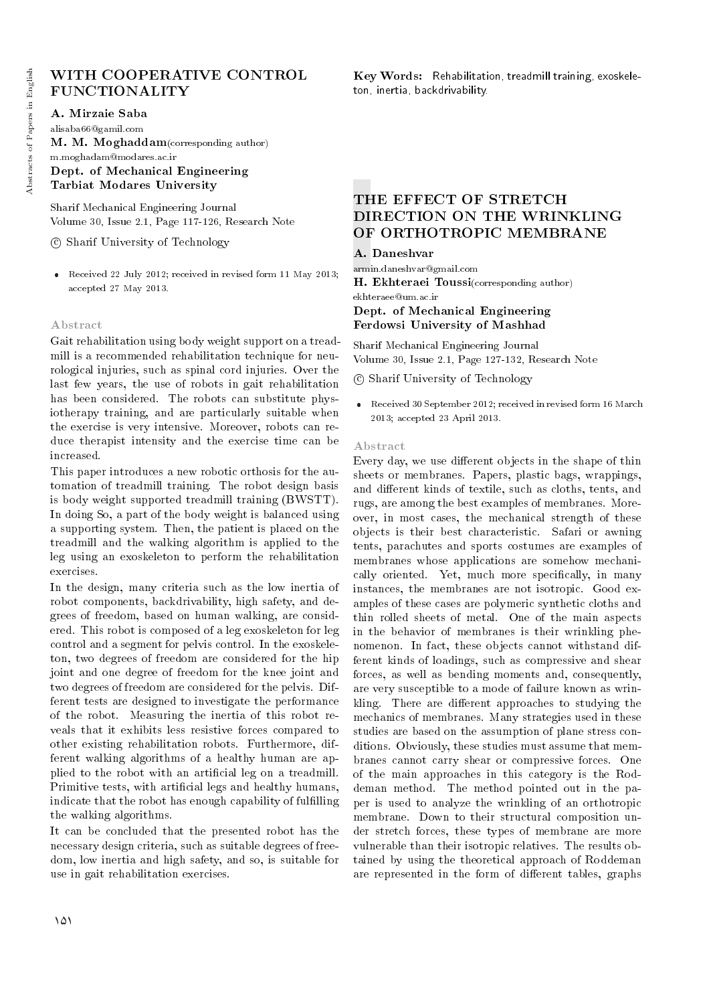# WITH COOPERATIVE CONTROL FUNCTIONALITY

A. Mirzaie Saba

alisaba66@gamil.com M. M. Moghaddam(corresponding author) m.moghadam@modares.ac.ir Dept. of Mechanical Engineering Tarbiat Modares University

Sharif Mechanical Engineering Journal Volume 30, Issue 2.1, Page 117-126, Research Note

c Sharif University of Technology

 Received 22 July 2012; received in revised form 11 May 2013; accepted 27 May 2013.

### Abstract

Gait rehabilitation using body weight support on a treadmill is a recommended rehabilitation technique for neurological injuries, such as spinal cord injuries. Over the last few years, the use of robots in gait rehabilitation has been considered. The robots can substitute physiotherapy training, and are particularly suitable when the exercise is very intensive. Moreover, robots can reduce therapist intensity and the exercise time can be increased.

This paper introduces a new robotic orthosis for the automation of treadmill training. The robot design basis is body weight supported treadmill training (BWSTT). In doing So, a part of the body weight is balanced using a supporting system. Then, the patient is placed on the treadmill and the walking algorithm is applied to the leg using an exoskeleton to perform the rehabilitation exercises.

In the design, many criteria such as the low inertia of robot components, backdrivability, high safety, and degrees of freedom, based on human walking, are considered. This robot is composed of a leg exoskeleton for leg control and a segment for pelvis control. In the exoskeleton, two degrees of freedom are considered for the hip joint and one degree of freedom for the knee joint and two degrees of freedom are considered for the pelvis. Different tests are designed to investigate the performance of the robot. Measuring the inertia of this robot reveals that it exhibits less resistive forces compared to other existing rehabilitation robots. Furthermore, different walking algorithms of a healthy human are applied to the robot with an articial leg on a treadmill. Primitive tests, with artificial legs and healthy humans, indicate that the robot has enough capability of fulfilling the walking algorithms.

It can be concluded that the presented robot has the necessary design criteria, such as suitable degrees of freedom, low inertia and high safety, and so, is suitable for use in gait rehabilitation exercises.

Key Words: Rehabilitation, treadmill training, exoskeleton, inertia, backdrivability.

# THE EFFECT OF STRETCH DIRECTION ON THE WRINKLING OF ORTHOTROPIC MEMBRANE

### A. Daneshvar

armin.daneshvar@gmail.com H. Ekhteraei Toussi(corresponding author) ekhteraee@um.ac.ir Dept. of Mechanical Engineering Ferdowsi University of Mashhad

Sharif Mechanical Engineering Journal Volume 30, Issue 2.1, Page 127-132, Research Note

c Sharif University of Technology

 Received 30 September 2012; received in revised form 16 March 2013; accepted 23 April 2013.

### Abstract

Every day, we use different objects in the shape of thin sheets or membranes. Papers, plastic bags, wrappings, and different kinds of textile, such as cloths, tents, and rugs, are among the best examples of membranes. Moreover, in most cases, the mechanical strength of these objects is their best characteristic. Safari or awning tents, parachutes and sports costumes are examples of membranes whose applications are somehow mechanically oriented. Yet, much more specifically, in many instances, the membranes are not isotropic. Good examples of these cases are polymeric synthetic cloths and thin rolled sheets of metal. One of the main aspects in the behavior of membranes is their wrinkling phenomenon. In fact, these objects cannot withstand different kinds of loadings, such as compressive and shear forces, as well as bending moments and, consequently, are very susceptible to a mode of failure known as wrinkling. There are different approaches to studying the mechanics of membranes. Many strategies used in these studies are based on the assumption of plane stress conditions. Obviously, these studies must assume that membranes cannot carry shear or compressive forces. One of the main approaches in this category is the Roddeman method. The method pointed out in the paper is used to analyze the wrinkling of an orthotropic membrane. Down to their structural composition under stretch forces, these types of membrane are more vulnerable than their isotropic relatives. The results obtained by using the theoretical approach of Roddeman are represented in the form of different tables, graphs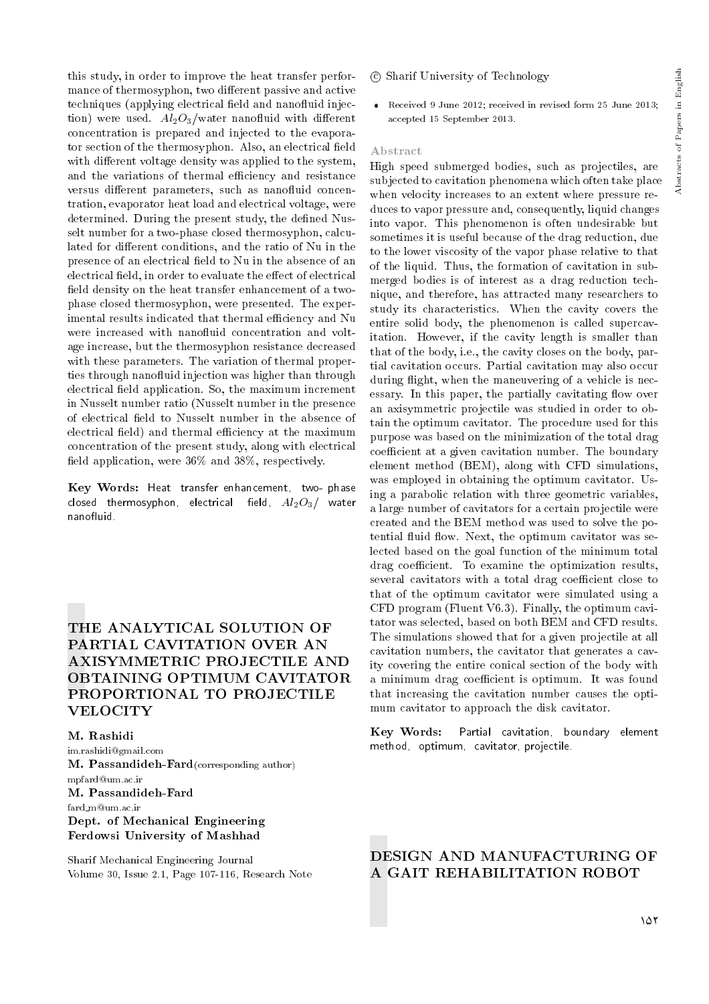this study, in order to improve the heat transfer performance of thermosyphon, two different passive and active techniques (applying electrical field and nanofluid injection) were used.  $Al_2O_3/water$  nanofluid with different concentration is prepared and injected to the evaporator section of the thermosyphon. Also, an electrical field with different voltage density was applied to the system, and the variations of thermal efficiency and resistance versus different parameters, such as nanofluid concentration, evaporator heat load and electrical voltage, were determined. During the present study, the defined Nusselt number for a two-phase closed thermosyphon, calculated for different conditions, and the ratio of Nu in the presence of an electrical field to Nu in the absence of an electrical field, in order to evaluate the effect of electrical field density on the heat transfer enhancement of a twophase closed thermosyphon, were presented. The experimental results indicated that thermal efficiency and Nu were increased with nanofluid concentration and voltage increase, but the thermosyphon resistance decreased with these parameters. The variation of thermal properties through nanofluid injection was higher than through electrical field application. So, the maximum increment in Nusselt number ratio (Nusselt number in the presence of electrical field to Nusselt number in the absence of electrical field) and thermal efficiency at the maximum concentration of the present study, along with electrical field application, were  $36\%$  and  $38\%$ , respectively.

Key Words: Heat transfer enhancement, two- phase closed thermosyphon, electrical field,  $Al_2O_3/$  water nanofluid.

# THE ANALYTICAL SOLUTION OF PARTIAL CAVITATION OVER AN AXISYMMETRIC PROJECTILE AND OBTAINING OPTIMUM CAVITATOR PROPORTIONAL TO PROJECTILE **VELOCITY**

M. Rashidi

im.rashidi@gmail.com M. Passandideh-Fard(corresponding author) mpfard@um.ac.ir M. Passandideh-Fard fard m@um.ac.ir Dept. of Mechanical Engineering Ferdowsi University of Mashhad

Sharif Mechanical Engineering Journal Volume 30, Issue 2.1, Page 107-116, Research Note

### c Sharif University of Technology

 Received 9 June 2012; received in revised form 25 June 2013; accepted 15 September 2013.

### Abstract

High speed submerged bodies, such as projectiles, are subjected to cavitation phenomena which often take place when velocity increases to an extent where pressure reduces to vapor pressure and, consequently, liquid changes into vapor. This phenomenon is often undesirable but sometimes it is useful because of the drag reduction, due to the lower viscosity of the vapor phase relative to that of the liquid. Thus, the formation of cavitation in submerged bodies is of interest as a drag reduction technique, and therefore, has attracted many researchers to study its characteristics. When the cavity covers the entire solid body, the phenomenon is called supercavitation. However, if the cavity length is smaller than that of the body, i.e., the cavity closes on the body, partial cavitation occurs. Partial cavitation may also occur during flight, when the maneuvering of a vehicle is necessary. In this paper, the partially cavitating flow over an axisymmetric projectile was studied in order to obtain the optimum cavitator. The procedure used for this purpose was based on the minimization of the total drag coefficient at a given cavitation number. The boundary element method (BEM), along with CFD simulations, was employed in obtaining the optimum cavitator. Using a parabolic relation with three geometric variables, a large number of cavitators for a certain projectile were created and the BEM method was used to solve the potential fluid flow. Next, the optimum cavitator was selected based on the goal function of the minimum total drag coefficient. To examine the optimization results, several cavitators with a total drag coefficient close to that of the optimum cavitator were simulated using a CFD program (Fluent V6.3). Finally, the optimum cavitator was selected, based on both BEM and CFD results. The simulations showed that for a given projectile at all cavitation numbers, the cavitator that generates a cavity covering the entire conical section of the body with a minimum drag coefficient is optimum. It was found that increasing the cavitation number causes the optimum cavitator to approach the disk cavitator.

Key Words: Partial cavitation, boundary element method, optimum, cavitator, projectile.

# DESIGN AND MANUFACTURING OF A GAIT REHABILITATION ROBOT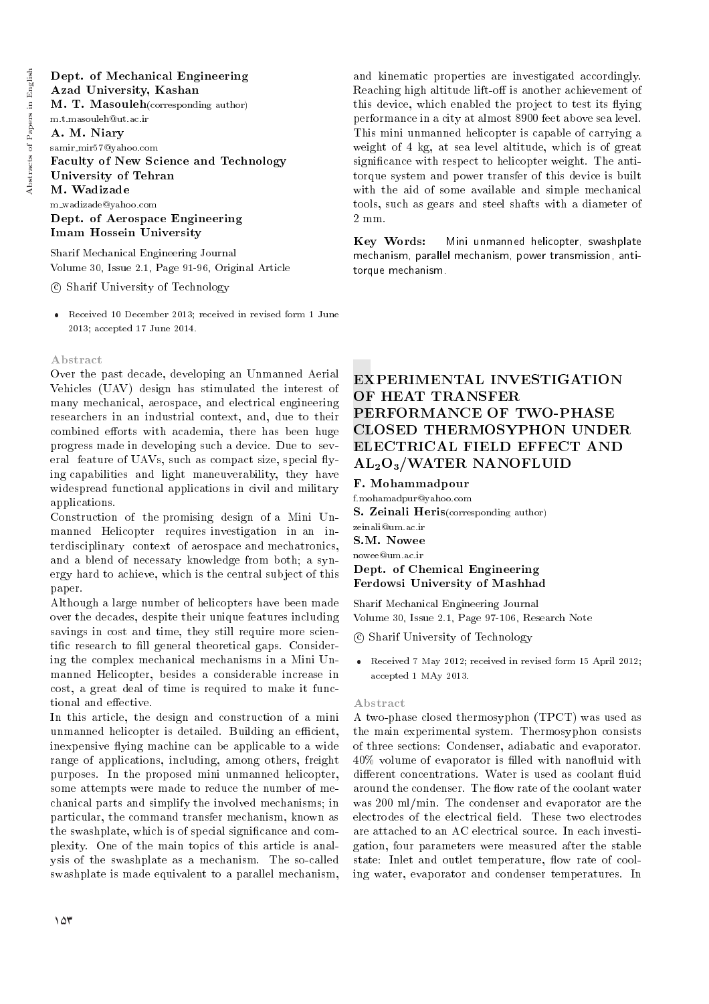# Dept. of Mechanical Engineering Azad University, Kashan M. T. Masouleh(corresponding author) m.t.masouleh@ut.ac.ir A. M. Niary samir\_mir57@yahoo.com Faculty of New Science and Technology University of Tehran M. Wadizade m wadizade@yahoo.com Dept. of Aerospace Engineering Imam Hossein University

Sharif Mechanical Engineering Journal Volume 30, Issue 2.1, Page 91-96, Original Article

c Sharif University of Technology

 Received 10 December 2013; received in revised form 1 June 2013; accepted 17 June 2014.

### Abstract

Over the past decade, developing an Unmanned Aerial Vehicles (UAV) design has stimulated the interest of many mechanical, aerospace, and electrical engineering researchers in an industrial context, and, due to their combined efforts with academia, there has been huge progress made in developing such a device. Due to several feature of UAVs, such as compact size, special flying capabilities and light maneuverability, they have widespread functional applications in civil and military applications.

Construction of the promising design of a Mini Unmanned Helicopter requires investigation in an interdisciplinary context of aerospace and mechatronics, and a blend of necessary knowledge from both; a synergy hard to achieve, which is the central subject of this paper.

Although a large number of helicopters have been made over the decades, despite their unique features including savings in cost and time, they still require more scientific research to fill general theoretical gaps. Considering the complex mechanical mechanisms in a Mini Unmanned Helicopter, besides a considerable increase in cost, a great deal of time is required to make it functional and effective.

In this article, the design and construction of a mini unmanned helicopter is detailed. Building an efficient, inexpensive flying machine can be applicable to a wide range of applications, including, among others, freight purposes. In the proposed mini unmanned helicopter, some attempts were made to reduce the number of mechanical parts and simplify the involved mechanisms; in particular, the command transfer mechanism, known as the swashplate, which is of special signicance and complexity. One of the main topics of this article is analysis of the swashplate as a mechanism. The so-called swashplate is made equivalent to a parallel mechanism, and kinematic properties are investigated accordingly. Reaching high altitude lift-off is another achievement of this device, which enabled the project to test its flying performance in a city at almost 8900 feet above sea level. This mini unmanned helicopter is capable of carrying a weight of 4 kg, at sea level altitude, which is of great signicance with respect to helicopter weight. The antitorque system and power transfer of this device is built with the aid of some available and simple mechanical tools, such as gears and steel shafts with a diameter of 2 mm.

Key Words: Mini unmanned helicopter, swashplate mechanism, parallel mechanism, power transmission, antitorque mechanism.

# EXPERIMENTAL INVESTIGATION OF HEAT TRANSFER PERFORMANCE OF TWO-PHASE CLOSED THERMOSYPHON UNDER ELECTRICAL FIELD EFFECT AND AL2O3/WATER NANOFLUID

F. Mohammadpour

f.mohamadpur@yahoo.com S. Zeinali Heris(corresponding author) zeinali@um.ac.ir S.M. Nowee nowee@um.ac.ir

Dept. of Chemical Engineering Ferdowsi University of Mashhad

Sharif Mechanical Engineering Journal Volume 30, Issue 2.1, Page 97-106, Research Note

c Sharif University of Technology

 Received 7 May 2012; received in revised form 15 April 2012; accepted 1 MAy 2013.

### Abstract

A two-phase closed thermosyphon (TPCT) was used as the main experimental system. Thermosyphon consists of three sections: Condenser, adiabatic and evaporator.  $40\%$  volume of evaporator is filled with nanofluid with different concentrations. Water is used as coolant fluid around the condenser. The flow rate of the coolant water was 200 ml/min. The condenser and evaporator are the electrodes of the electrical field. These two electrodes are attached to an AC electrical source. In each investigation, four parameters were measured after the stable state: Inlet and outlet temperature, flow rate of cooling water, evaporator and condenser temperatures. In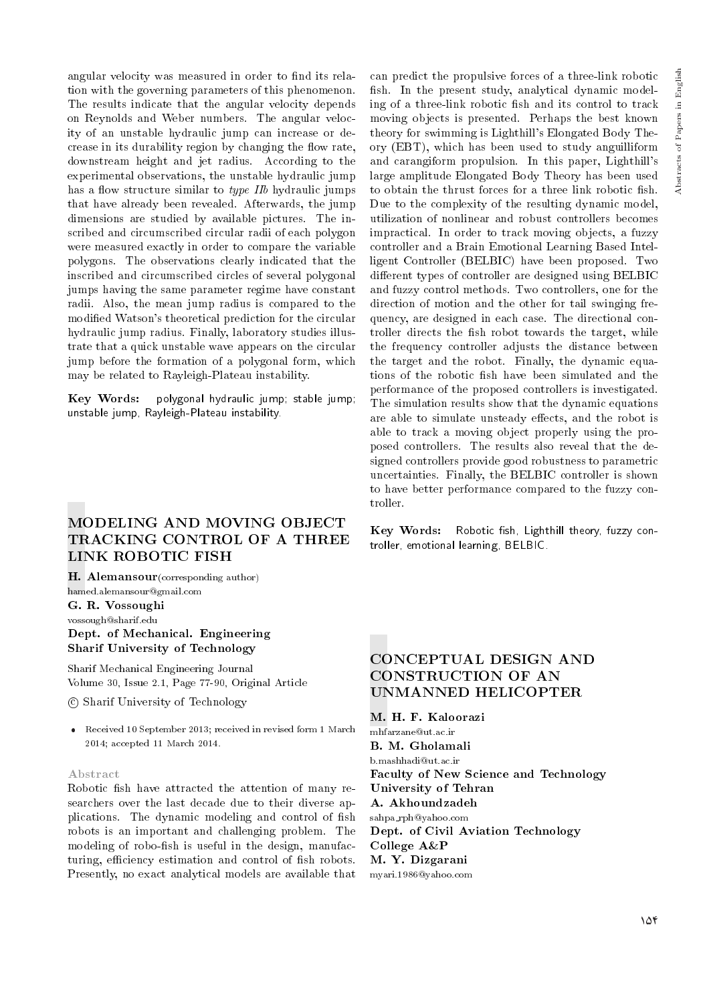angular velocity was measured in order to find its relation with the governing parameters of this phenomenon. The results indicate that the angular velocity depends on Reynolds and Weber numbers. The angular velocity of an unstable hydraulic jump can increase or decrease in its durability region by changing the flow rate, downstream height and jet radius. According to the experimental observations, the unstable hydraulic jump has a flow structure similar to type IIb hydraulic jumps that have already been revealed. Afterwards, the jump dimensions are studied by available pictures. The inscribed and circumscribed circular radii of each polygon were measured exactly in order to compare the variable polygons. The observations clearly indicated that the inscribed and circumscribed circles of several polygonal jumps having the same parameter regime have constant radii. Also, the mean jump radius is compared to the modied Watson's theoretical prediction for the circular hydraulic jump radius. Finally, laboratory studies illustrate that a quick unstable wave appears on the circular jump before the formation of a polygonal form, which may be related to Rayleigh-Plateau instability.

Key Words: polygonal hydraulic jump; stable jump; unstable jump, Rayleigh-Plateau instability.

# MODELING AND MOVING OBJECT TRACKING CONTROL OF A THREE LINK ROBOTIC FISH

H. Alemansour (corresponding author) hamed.alemansour@gmail.com G. R. Vossoughi vossough@sharif.edu

# Dept. of Mechanical. Engineering Sharif University of Technology

Sharif Mechanical Engineering Journal Volume 30, Issue 2.1, Page 77-90, Original Article

c Sharif University of Technology

 Received 10 September 2013; received in revised form 1 March 2014; accepted 11 March 2014.

### Abstract

Robotic fish have attracted the attention of many researchers over the last decade due to their diverse applications. The dynamic modeling and control of fish robots is an important and challenging problem. The modeling of robo-fish is useful in the design, manufacturing, efficiency estimation and control of fish robots. Presently, no exact analytical models are available that

can predict the propulsive forces of a three-link robotic fish. In the present study, analytical dynamic modeling of a three-link robotic fish and its control to track moving objects is presented. Perhaps the best known theory for swimming is Lighthill's Elongated Body Theory (EBT), which has been used to study anguilliform and carangiform propulsion. In this paper, Lighthill's large amplitude Elongated Body Theory has been used to obtain the thrust forces for a three link robotic fish. Due to the complexity of the resulting dynamic model, utilization of nonlinear and robust controllers becomes impractical. In order to track moving objects, a fuzzy controller and a Brain Emotional Learning Based Intelligent Controller (BELBIC) have been proposed. Two different types of controller are designed using BELBIC and fuzzy control methods. Two controllers, one for the direction of motion and the other for tail swinging frequency, are designed in each case. The directional controller directs the fish robot towards the target, while the frequency controller adjusts the distance between the target and the robot. Finally, the dynamic equations of the robotic fish have been simulated and the performance of the proposed controllers is investigated. The simulation results show that the dynamic equations are able to simulate unsteady effects, and the robot is able to track a moving object properly using the proposed controllers. The results also reveal that the designed controllers provide good robustness to parametric uncertainties. Finally, the BELBIC controller is shown to have better performance compared to the fuzzy controller.

Key Words: Robotic fish, Lighthill theory, fuzzy controller, emotional learning, BELBIC.

# CONCEPTUAL DESIGN AND CONSTRUCTION OF AN UNMANNED HELICOPTER

M. H. F. Kaloorazi mhfarzane@ut.ac.ir B. M. Gholamali b.mashhadi@ut.ac.ir Faculty of New Science and Technology University of Tehran A. Akhoundzadeh sahpa rph@yahoo.com Dept. of Civil Aviation Technology College A&P M. Y. Dizgarani myari.1986@yahoo.com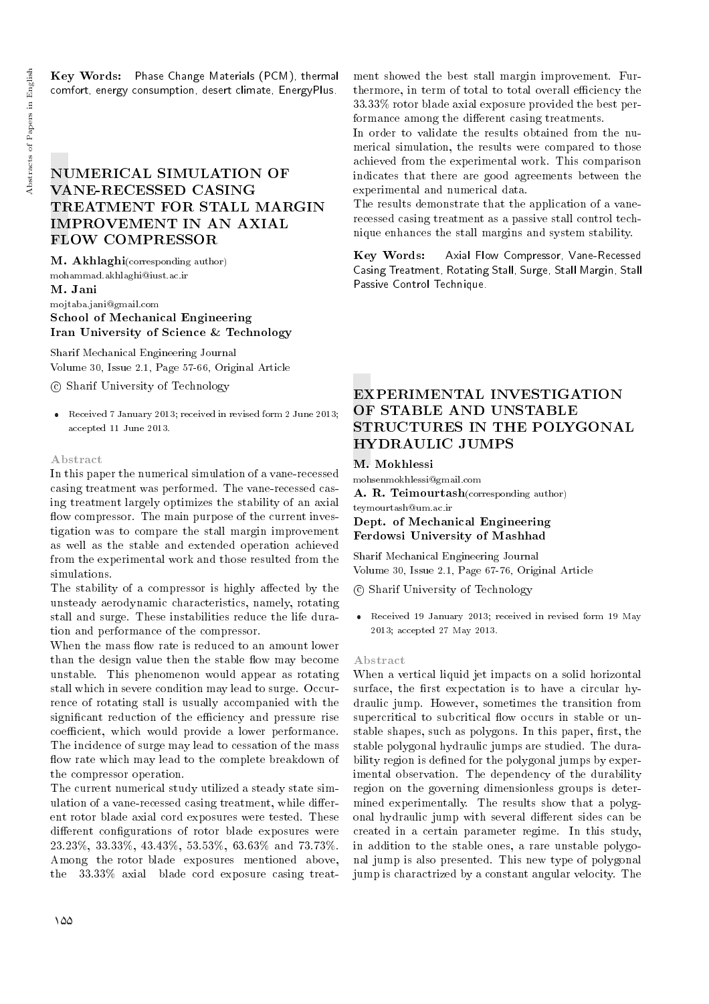Key Words: Phase Change Materials (PCM), thermal comfort, energy consumption, desert climate, EnergyPlus.

# NUMERICAL SIMULATION OF VANE-RECESSED CASING TREATMENT FOR STALL MARGIN IMPROVEMENT IN AN AXIAL FLOW COMPRESSOR

M. Akhlaghi(corresponding author) mohammad.akhlaghi@iust.ac.ir

### M. Jani

mojtaba.jani@gmail.com School of Mechanical Engineering

# Iran University of Science & Technology

Sharif Mechanical Engineering Journal Volume 30, Issue 2.1, Page 57-66, Original Article

c Sharif University of Technology

 Received 7 January 2013; received in revised form 2 June 2013; accepted 11 June 2013.

### Abstract

In this paper the numerical simulation of a vane-recessed casing treatment was performed. The vane-recessed casing treatment largely optimizes the stability of an axial flow compressor. The main purpose of the current investigation was to compare the stall margin improvement as well as the stable and extended operation achieved from the experimental work and those resulted from the simulations.

The stability of a compressor is highly affected by the unsteady aerodynamic characteristics, namely, rotating stall and surge. These instabilities reduce the life duration and performance of the compressor.

When the mass flow rate is reduced to an amount lower than the design value then the stable flow may become unstable. This phenomenon would appear as rotating stall which in severe condition may lead to surge. Occurrence of rotating stall is usually accompanied with the significant reduction of the efficiency and pressure rise coefficient, which would provide a lower performance. The incidence of surge may lead to cessation of the mass flow rate which may lead to the complete breakdown of the compressor operation.

The current numerical study utilized a steady state simulation of a vane-recessed casing treatment, while different rotor blade axial cord exposures were tested. These different configurations of rotor blade exposures were 23.23%, 33.33%, 43.43%, 53.53%, 63.63% and 73.73%. Among the rotor blade exposures mentioned above, the 33.33% axial blade cord exposure casing treatment showed the best stall margin improvement. Furthermore, in term of total to total overall efficiency the 33.33% rotor blade axial exposure provided the best performance among the different casing treatments.

In order to validate the results obtained from the numerical simulation, the results were compared to those achieved from the experimental work. This comparison indicates that there are good agreements between the experimental and numerical data.

The results demonstrate that the application of a vanerecessed casing treatment as a passive stall control technique enhances the stall margins and system stability.

Key Words: Axial Flow Compressor, Vane-Recessed Casing Treatment, Rotating Stall, Surge, Stall Margin, Stall Passive Control Technique.

# EXPERIMENTAL INVESTIGATION OF STABLE AND UNSTABLE STRUCTURES IN THE POLYGONAL HYDRAULIC JUMPS

### M. Mokhlessi

mohsenmokhlessi@gmail.com A. R. Teimourtash(corresponding author) teymourtash@um.ac.ir

# Dept. of Mechanical Engineering Ferdowsi University of Mashhad

Sharif Mechanical Engineering Journal Volume 30, Issue 2.1, Page 67-76, Original Article

c Sharif University of Technology

 Received 19 January 2013; received in revised form 19 May 2013; accepted 27 May 2013.

### Abstract

When a vertical liquid jet impacts on a solid horizontal surface, the first expectation is to have a circular hydraulic jump. However, sometimes the transition from supercritical to subcritical flow occurs in stable or unstable shapes, such as polygons. In this paper, first, the stable polygonal hydraulic jumps are studied. The durability region is defined for the polygonal jumps by experimental observation. The dependency of the durability region on the governing dimensionless groups is determined experimentally. The results show that a polygonal hydraulic jump with several different sides can be created in a certain parameter regime. In this study, in addition to the stable ones, a rare unstable polygonal jump is also presented. This new type of polygonal jump is charactrized by a constant angular velocity. The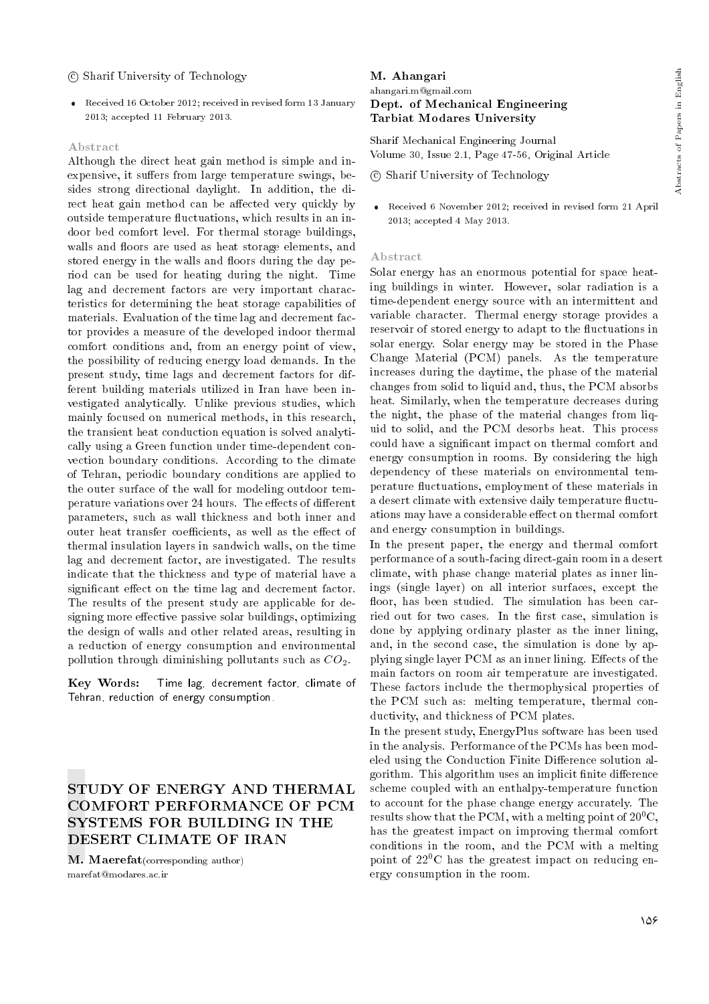### c Sharif University of Technology

 Received 16 October 2012; received in revised form 13 January 2013; accepted 11 February 2013.

### Abstract

Although the direct heat gain method is simple and inexpensive, it suffers from large temperature swings, besides strong directional daylight. In addition, the direct heat gain method can be affected very quickly by outside temperature fluctuations, which results in an indoor bed comfort level. For thermal storage buildings, walls and floors are used as heat storage elements, and stored energy in the walls and floors during the day period can be used for heating during the night. Time lag and decrement factors are very important characteristics for determining the heat storage capabilities of materials. Evaluation of the time lag and decrement factor provides a measure of the developed indoor thermal comfort conditions and, from an energy point of view, the possibility of reducing energy load demands. In the present study, time lags and decrement factors for different building materials utilized in Iran have been investigated analytically. Unlike previous studies, which mainly focused on numerical methods, in this research, the transient heat conduction equation is solved analytically using a Green function under time-dependent convection boundary conditions. According to the climate of Tehran, periodic boundary conditions are applied to the outer surface of the wall for modeling outdoor temperature variations over 24 hours. The effects of different parameters, such as wall thickness and both inner and outer heat transfer coefficients, as well as the effect of thermal insulation layers in sandwich walls, on the time lag and decrement factor, are investigated. The results indicate that the thickness and type of material have a significant effect on the time lag and decrement factor. The results of the present study are applicable for designing more effective passive solar buildings, optimizing the design of walls and other related areas, resulting in a reduction of energy consumption and environmental pollution through diminishing pollutants such as  $CO<sub>2</sub>$ .

Key Words: Time lag, decrement factor, climate of Tehran, reduction of energy consumption.

# STUDY OF ENERGY AND THERMAL COMFORT PERFORMANCE OF PCM SYSTEMS FOR BUILDING IN THE DESERT CLIMATE OF IRAN

M. Maerefat(corresponding author) marefat@modares.ac.ir

# M. Ahangari ahangari.m@gmail.com Dept. of Mechanical Engineering Tarbiat Modares University

Sharif Mechanical Engineering Journal Volume 30, Issue 2.1, Page 47-56, Original Article

c Sharif University of Technology

 Received 6 November 2012; received in revised form 21 April 2013; accepted 4 May 2013.

### Abstract

Solar energy has an enormous potential for space heating buildings in winter. However, solar radiation is a time-dependent energy source with an intermittent and variable character. Thermal energy storage provides a reservoir of stored energy to adapt to the fluctuations in solar energy. Solar energy may be stored in the Phase Change Material (PCM) panels. As the temperature increases during the daytime, the phase of the material changes from solid to liquid and, thus, the PCM absorbs heat. Similarly, when the temperature decreases during the night, the phase of the material changes from liquid to solid, and the PCM desorbs heat. This process could have a signicant impact on thermal comfort and energy consumption in rooms. By considering the high dependency of these materials on environmental temperature fluctuations, employment of these materials in a desert climate with extensive daily temperature fluctuations may have a considerable effect on thermal comfort and energy consumption in buildings.

In the present paper, the energy and thermal comfort performance of a south-facing direct-gain room in a desert climate, with phase change material plates as inner linings (single layer) on all interior surfaces, except the floor, has been studied. The simulation has been carried out for two cases. In the first case, simulation is done by applying ordinary plaster as the inner lining, and, in the second case, the simulation is done by applying single layer PCM as an inner lining. Effects of the main factors on room air temperature are investigated. These factors include the thermophysical properties of the PCM such as: melting temperature, thermal conductivity, and thickness of PCM plates.

In the present study, EnergyPlus software has been used in the analysis. Performance of the PCMs has been modeled using the Conduction Finite Difference solution algorithm. This algorithm uses an implicit finite difference scheme coupled with an enthalpy-temperature function to account for the phase change energy accurately. The results show that the PCM, with a melting point of  $20^{0}$ C, has the greatest impact on improving thermal comfort conditions in the room, and the PCM with a melting point of  $22^{0}$ C has the greatest impact on reducing energy consumption in the room.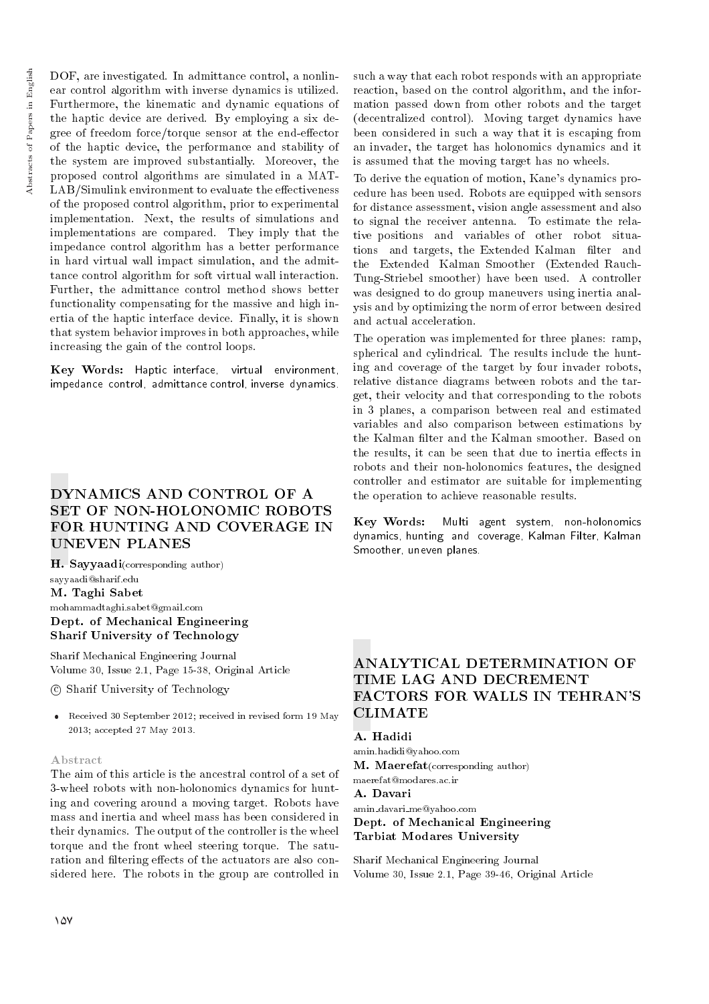DOF, are investigated. In admittance control, a nonlinear control algorithm with inverse dynamics is utilized. Furthermore, the kinematic and dynamic equations of the haptic device are derived. By employing a six degree of freedom force/torque sensor at the end-effector of the haptic device, the performance and stability of the system are improved substantially. Moreover, the proposed control algorithms are simulated in a MAT- $LAB/Simulink$  environment to evaluate the effectiveness of the proposed control algorithm, prior to experimental implementation. Next, the results of simulations and implementations are compared. They imply that the impedance control algorithm has a better performance in hard virtual wall impact simulation, and the admittance control algorithm for soft virtual wall interaction. Further, the admittance control method shows better functionality compensating for the massive and high inertia of the haptic interface device. Finally, it is shown that system behavior improves in both approaches, while increasing the gain of the control loops.

Key Words: Haptic interface, virtual environment, impedance control, admittance control, inverse dynamics.

# DYNAMICS AND CONTROL OF A SET OF NON-HOLONOMIC ROBOTS FOR HUNTING AND COVERAGE IN UNEVEN PLANES

H. Sayyaadi(corresponding author) sayyaadi@sharif.edu M. Taghi Sabet mohammadtaghi.sabet@gmail.com Dept. of Mechanical Engineering Sharif University of Technology

Sharif Mechanical Engineering Journal Volume 30, Issue 2.1, Page 15-38, Original Article

c Sharif University of Technology

 Received 30 September 2012; received in revised form 19 May 2013; accepted 27 May 2013.

# Abstract

The aim of this article is the ancestral control of a set of 3-wheel robots with non-holonomics dynamics for hunting and covering around a moving target. Robots have mass and inertia and wheel mass has been considered in their dynamics. The output of the controller is the wheel torque and the front wheel steering torque. The saturation and filtering effects of the actuators are also considered here. The robots in the group are controlled in

such a way that each robot responds with an appropriate reaction, based on the control algorithm, and the information passed down from other robots and the target (decentralized control). Moving target dynamics have been considered in such a way that it is escaping from an invader, the target has holonomics dynamics and it is assumed that the moving target has no wheels.

To derive the equation of motion, Kane's dynamics procedure has been used. Robots are equipped with sensors for distance assessment, vision angle assessment and also to signal the receiver antenna. To estimate the relative positions and variables of other robot situations and targets, the Extended Kalman filter and the Extended Kalman Smoother (Extended Rauch-Tung-Striebel smoother) have been used. A controller was designed to do group maneuvers using inertia analysis and by optimizing the norm of error between desired and actual acceleration.

The operation was implemented for three planes: ramp, spherical and cylindrical. The results include the hunting and coverage of the target by four invader robots, relative distance diagrams between robots and the target, their velocity and that corresponding to the robots in 3 planes, a comparison between real and estimated variables and also comparison between estimations by the Kalman filter and the Kalman smoother. Based on the results, it can be seen that due to inertia effects in robots and their non-holonomics features, the designed controller and estimator are suitable for implementing the operation to achieve reasonable results.

Key Words: Multi agent system, non-holonomics dynamics, hunting and coverage, Kalman Filter, Kalman Smoother, uneven planes.

# ANALYTICAL DETERMINATION OF TIME LAG AND DECREMENT FACTORS FOR WALLS IN TEHRAN'S **CLIMATE**

### A. Hadidi

amin.hadidi@yahoo.com M. Maerefat(corresponding author) maerefat@modares.ac.ir

A. Davari

amin davari me@yahoo.com Dept. of Mechanical Engineering Tarbiat Modares University

Sharif Mechanical Engineering Journal Volume 30, Issue 2.1, Page 39-46, Original Article